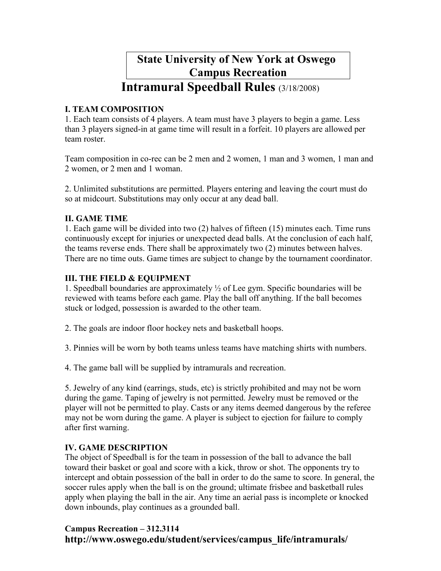# State University of New York at Oswego Campus Recreation

# Intramural Speedball Rules (3/18/2008)

## I. TEAM COMPOSITION

1. Each team consists of 4 players. A team must have 3 players to begin a game. Less than 3 players signed-in at game time will result in a forfeit. 10 players are allowed per team roster.

Team composition in co-rec can be 2 men and 2 women, 1 man and 3 women, 1 man and 2 women, or 2 men and 1 woman.

2. Unlimited substitutions are permitted. Players entering and leaving the court must do so at midcourt. Substitutions may only occur at any dead ball.

### II. GAME TIME

1. Each game will be divided into two (2) halves of fifteen (15) minutes each. Time runs continuously except for injuries or unexpected dead balls. At the conclusion of each half, the teams reverse ends. There shall be approximately two (2) minutes between halves. There are no time outs. Game times are subject to change by the tournament coordinator.

### III. THE FIELD & EQUIPMENT

1. Speedball boundaries are approximately ½ of Lee gym. Specific boundaries will be reviewed with teams before each game. Play the ball off anything. If the ball becomes stuck or lodged, possession is awarded to the other team.

- 2. The goals are indoor floor hockey nets and basketball hoops.
- 3. Pinnies will be worn by both teams unless teams have matching shirts with numbers.
- 4. The game ball will be supplied by intramurals and recreation.

5. Jewelry of any kind (earrings, studs, etc) is strictly prohibited and may not be worn during the game. Taping of jewelry is not permitted. Jewelry must be removed or the player will not be permitted to play. Casts or any items deemed dangerous by the referee may not be worn during the game. A player is subject to ejection for failure to comply after first warning.

### IV. GAME DESCRIPTION

The object of Speedball is for the team in possession of the ball to advance the ball toward their basket or goal and score with a kick, throw or shot. The opponents try to intercept and obtain possession of the ball in order to do the same to score. In general, the soccer rules apply when the ball is on the ground; ultimate frisbee and basketball rules apply when playing the ball in the air. Any time an aerial pass is incomplete or knocked down inbounds, play continues as a grounded ball.

# Campus Recreation – 312.3114 http://www.oswego.edu/student/services/campus\_life/intramurals/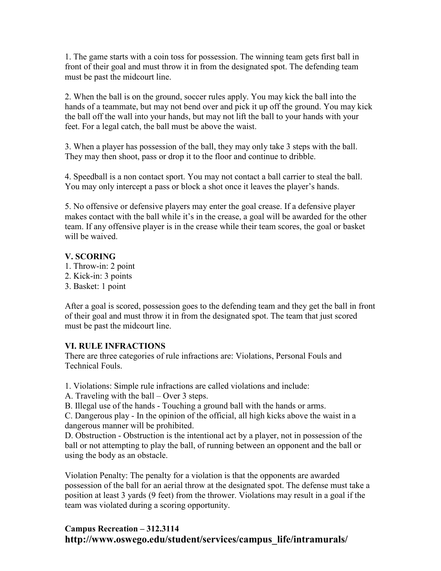1. The game starts with a coin toss for possession. The winning team gets first ball in front of their goal and must throw it in from the designated spot. The defending team must be past the midcourt line.

2. When the ball is on the ground, soccer rules apply. You may kick the ball into the hands of a teammate, but may not bend over and pick it up off the ground. You may kick the ball off the wall into your hands, but may not lift the ball to your hands with your feet. For a legal catch, the ball must be above the waist.

3. When a player has possession of the ball, they may only take 3 steps with the ball. They may then shoot, pass or drop it to the floor and continue to dribble.

4. Speedball is a non contact sport. You may not contact a ball carrier to steal the ball. You may only intercept a pass or block a shot once it leaves the player's hands.

5. No offensive or defensive players may enter the goal crease. If a defensive player makes contact with the ball while it's in the crease, a goal will be awarded for the other team. If any offensive player is in the crease while their team scores, the goal or basket will be waived.

#### V. SCORING

- 1. Throw-in: 2 point
- 2. Kick-in: 3 points
- 3. Basket: 1 point

After a goal is scored, possession goes to the defending team and they get the ball in front of their goal and must throw it in from the designated spot. The team that just scored must be past the midcourt line.

#### VI. RULE INFRACTIONS

There are three categories of rule infractions are: Violations, Personal Fouls and Technical Fouls.

1. Violations: Simple rule infractions are called violations and include:

A. Traveling with the ball – Over 3 steps.

B. Illegal use of the hands - Touching a ground ball with the hands or arms.

C. Dangerous play - In the opinion of the official, all high kicks above the waist in a dangerous manner will be prohibited.

D. Obstruction - Obstruction is the intentional act by a player, not in possession of the ball or not attempting to play the ball, of running between an opponent and the ball or using the body as an obstacle.

Violation Penalty: The penalty for a violation is that the opponents are awarded possession of the ball for an aerial throw at the designated spot. The defense must take a position at least 3 yards (9 feet) from the thrower. Violations may result in a goal if the team was violated during a scoring opportunity.

### Campus Recreation – 312.3114 http://www.oswego.edu/student/services/campus\_life/intramurals/